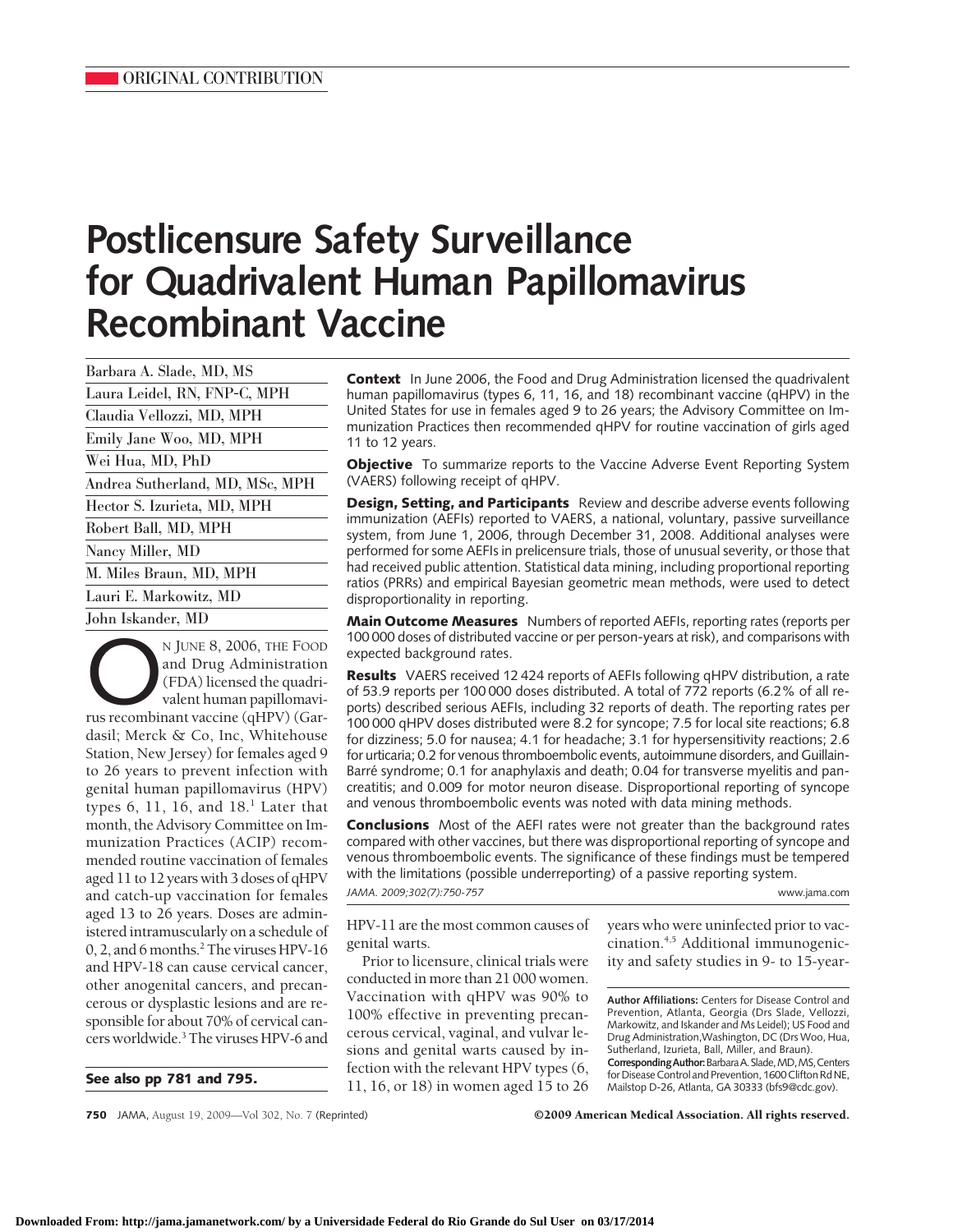# **Postlicensure Safety Surveillance for Quadrivalent Human Papillomavirus Recombinant Vaccine**

Barbara A. Slade, MD, MS Laura Leidel, RN, FNP-C, MPH Claudia Vellozzi, MD, MPH Emily Jane Woo, MD, MPH Wei Hua, MD, PhD Andrea Sutherland, MD, MSc, MPH Hector S. Izurieta, MD, MPH Robert Ball, MD, MPH Nancy Miller, MD M. Miles Braun, MD, MPH Lauri E. Markowitz, MD John Iskander, MD

N JUNE 8, 2006, THE FOOD<br>and Drug Administration<br>(FDA) licensed the quadri-<br>valent human papillomavi-<br>rus recombinant vaccine (qHPV) (Garand Drug Administration (FDA) licensed the quadrivalent human papillomavidasil; Merck & Co, Inc, Whitehouse Station, New Jersey) for females aged 9 to 26 years to prevent infection with genital human papillomavirus (HPV) types  $6$ , 11, 16, and  $18<sup>1</sup>$  Later that month, the Advisory Committee on Immunization Practices (ACIP) recommended routine vaccination of females aged 11 to 12 years with 3 doses of qHPV and catch-up vaccination for females aged 13 to 26 years. Doses are administered intramuscularly on a schedule of 0, 2, and 6 months.<sup>2</sup> The viruses HPV-16 and HPV-18 can cause cervical cancer, other anogenital cancers, and precancerous or dysplastic lesions and are responsible for about 70% of cervical cancers worldwide.3 The viruses HPV-6 and

**See also pp 781 and 795.**

**Context** In June 2006, the Food and Drug Administration licensed the quadrivalent human papillomavirus (types 6, 11, 16, and 18) recombinant vaccine (qHPV) in the United States for use in females aged 9 to 26 years; the Advisory Committee on Immunization Practices then recommended qHPV for routine vaccination of girls aged 11 to 12 years.

**Objective** To summarize reports to the Vaccine Adverse Event Reporting System (VAERS) following receipt of qHPV.

**Design, Setting, and Participants** Review and describe adverse events following immunization (AEFIs) reported to VAERS, a national, voluntary, passive surveillance system, from June 1, 2006, through December 31, 2008. Additional analyses were performed for some AEFIs in prelicensure trials, those of unusual severity, or those that had received public attention. Statistical data mining, including proportional reporting ratios (PRRs) and empirical Bayesian geometric mean methods, were used to detect disproportionality in reporting.

**Main Outcome Measures** Numbers of reported AEFIs, reporting rates (reports per 100 000 doses of distributed vaccine or per person-years at risk), and comparisons with expected background rates.

**Results** VAERS received 12 424 reports of AEFIs following qHPV distribution, a rate of 53.9 reports per 100 000 doses distributed. A total of 772 reports (6.2% of all reports) described serious AEFIs, including 32 reports of death. The reporting rates per 100 000 qHPV doses distributed were 8.2 for syncope; 7.5 for local site reactions; 6.8 for dizziness; 5.0 for nausea; 4.1 for headache; 3.1 for hypersensitivity reactions; 2.6 for urticaria; 0.2 for venous thromboembolic events, autoimmune disorders, and Guillain-Barré syndrome; 0.1 for anaphylaxis and death; 0.04 for transverse myelitis and pancreatitis; and 0.009 for motor neuron disease. Disproportional reporting of syncope and venous thromboembolic events was noted with data mining methods.

**Conclusions** Most of the AEFI rates were not greater than the background rates compared with other vaccines, but there was disproportional reporting of syncope and venous thromboembolic events. The significance of these findings must be tempered with the limitations (possible underreporting) of a passive reporting system. *JAMA. 2009;302(7):750-757* www.jama.com

HPV-11 are the most common causes of genital warts.

Prior to licensure, clinical trials were conducted in more than 21 000 women. Vaccination with qHPV was 90% to 100% effective in preventing precancerous cervical, vaginal, and vulvar lesions and genital warts caused by infection with the relevant HPV types (6, 11, 16, or 18) in women aged 15 to 26 years who were uninfected prior to vaccination.4,5 Additional immunogenicity and safety studies in 9- to 15-year-

**Author Affiliations:** Centers for Disease Control and Prevention, Atlanta, Georgia (Drs Slade, Vellozzi, Markowitz, and Iskander and Ms Leidel); US Food and Drug Administration,Washington, DC (Drs Woo, Hua, Sutherland, Izurieta, Ball, Miller, and Braun). **CorrespondingAuthor:**BarbaraA.Slade,MD,MS,Centers for Disease Control and Prevention, 1600 Clifton Rd NE, Mailstop D-26, Atlanta, GA 30333 (bfs9@cdc.gov).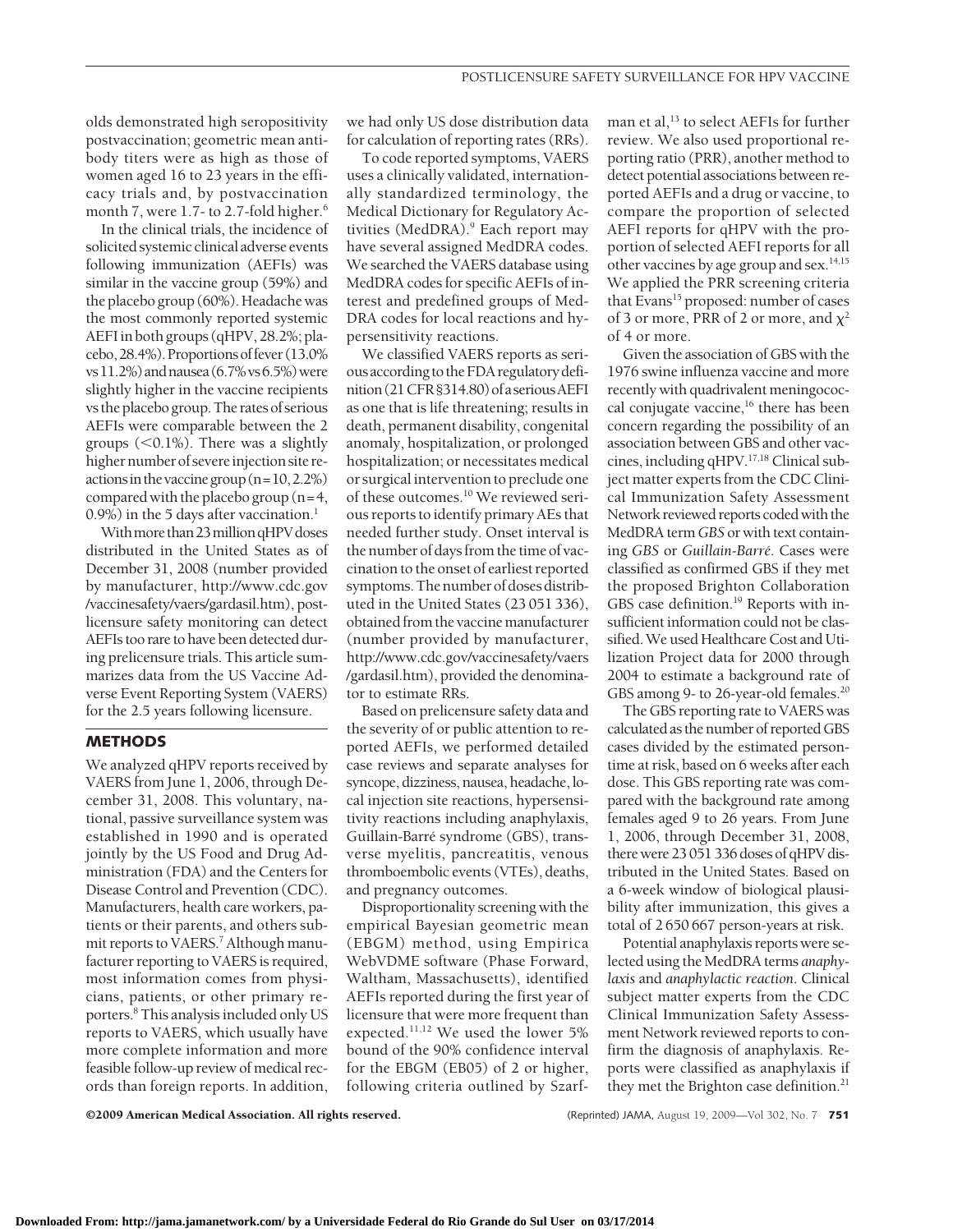olds demonstrated high seropositivity postvaccination; geometric mean antibody titers were as high as those of women aged 16 to 23 years in the efficacy trials and, by postvaccination month 7, were 1.7- to 2.7-fold higher.<sup>6</sup>

In the clinical trials, the incidence of solicited systemic clinical adverse events following immunization (AEFIs) was similar in the vaccine group (59%) and the placebo group (60%). Headache was the most commonly reported systemic AEFIin both groups (qHPV, 28.2%; placebo,28.4%).Proportionsoffever(13.0% vs11.2%)andnausea(6.7%vs6.5%)were slightly higher in the vaccine recipients vs the placebogroup.The rates of serious AEFIs were comparable between the 2 groups  $(<0.1\%)$ . There was a slightly higher number of severe injection site reactions in the vaccine group  $(n=10, 2.2%)$ compared with the placebo group (n=4, 0.9%) in the 5 days after vaccination.<sup>1</sup>

With more than 23 million qHPV doses distributed in the United States as of December 31, 2008 (number provided by manufacturer, http://www.cdc.gov /vaccinesafety/vaers/gardasil.htm), postlicensure safety monitoring can detect AEFIs too rare to have been detected during prelicensure trials. This article summarizes data from the US Vaccine Adverse Event Reporting System (VAERS) for the 2.5 years following licensure.

# **METHODS**

We analyzed qHPV reports received by VAERS from June 1, 2006, through December 31, 2008. This voluntary, national, passive surveillance system was established in 1990 and is operated jointly by the US Food and Drug Administration (FDA) and the Centers for Disease Control and Prevention (CDC). Manufacturers, health care workers, patients or their parents, and others submit reports to VAERS.<sup>7</sup> Although manufacturer reporting to VAERS is required, most information comes from physicians, patients, or other primary reporters.8 This analysis included only US reports to VAERS, which usually have more complete information and more feasible follow-up review of medical records than foreign reports. In addition,

we had only US dose distribution data for calculation of reporting rates (RRs).

To code reported symptoms, VAERS uses a clinically validated, internationally standardized terminology, the Medical Dictionary for Regulatory Activities (MedDRA).<sup>9</sup> Each report may have several assigned MedDRA codes. We searched the VAERS database using MedDRA codes for specific AEFIs of interest and predefined groups of Med-DRA codes for local reactions and hypersensitivity reactions.

We classified VAERS reports as seriousaccording to theFDA regulatorydefinition (21 CFR § 314.80) of a serious AEFI as one that is life threatening; results in death, permanent disability, congenital anomaly, hospitalization, or prolonged hospitalization; or necessitates medical or surgical intervention to preclude one of these outcomes.10 We reviewed serious reports to identify primary AEs that needed further study. Onset interval is the number of daysfrom the time of vaccination to the onset of earliest reported symptoms.The number of doses distributed in the United States (23 051 336), obtained from the vaccine manufacturer (number provided by manufacturer, http://www.cdc.gov/vaccinesafety/vaers /gardasil.htm), provided the denominator to estimate RRs.

Based on prelicensure safety data and the severity of or public attention to reported AEFIs, we performed detailed case reviews and separate analyses for syncope, dizziness, nausea, headache, local injection site reactions, hypersensitivity reactions including anaphylaxis, Guillain-Barré syndrome (GBS), transverse myelitis, pancreatitis, venous thromboembolic events (VTEs), deaths, and pregnancy outcomes.

Disproportionality screening with the empirical Bayesian geometric mean (EBGM) method, using Empirica WebVDME software (Phase Forward, Waltham, Massachusetts), identified AEFIs reported during the first year of licensure that were more frequent than expected.11,12 We used the lower 5% bound of the 90% confidence interval for the EBGM (EB05) of 2 or higher, following criteria outlined by Szarfman et al,<sup>13</sup> to select AEFIs for further review. We also used proportional reporting ratio (PRR), another method to detect potential associations between reported AEFIs and a drug or vaccine, to compare the proportion of selected AEFI reports for qHPV with the proportion of selected AEFI reports for all other vaccines by age group and sex. $14,15$ We applied the PRR screening criteria that Evans<sup>15</sup> proposed: number of cases of 3 or more, PRR of 2 or more, and  $\chi^2$ of 4 or more.

Given the association of GBS with the 1976 swine influenza vaccine and more recently with quadrivalent meningococcal conjugate vaccine,<sup>16</sup> there has been concern regarding the possibility of an association between GBS and other vaccines, including qHPV.<sup>17,18</sup> Clinical subject matter experts from the CDC Clinical Immunization Safety Assessment Network reviewed reports coded with the MedDRA term *GBS* or with text containing *GBS* or *Guillain-Barre´*. Cases were classified as confirmed GBS if they met the proposed Brighton Collaboration GBS case definition.<sup>19</sup> Reports with insufficient information could not be classified.We used Healthcare Cost and Utilization Project data for 2000 through 2004 to estimate a background rate of GBS among 9- to 26-year-old females.<sup>20</sup>

The GBS reporting rate to VAERS was calculated as the number of reported GBS cases divided by the estimated persontime at risk, based on 6 weeks after each dose. This GBS reporting rate was compared with the background rate among females aged 9 to 26 years. From June 1, 2006, through December 31, 2008, there were 23 051 336 doses of qHPV distributed in the United States. Based on a 6-week window of biological plausibility after immunization, this gives a total of 2 650 667 person-years at risk.

Potential anaphylaxis reports were selected using the MedDRA terms *anaphylaxis* and *anaphylactic reaction*. Clinical subject matter experts from the CDC Clinical Immunization Safety Assessment Network reviewed reports to confirm the diagnosis of anaphylaxis. Reports were classified as anaphylaxis if they met the Brighton case definition.<sup>21</sup>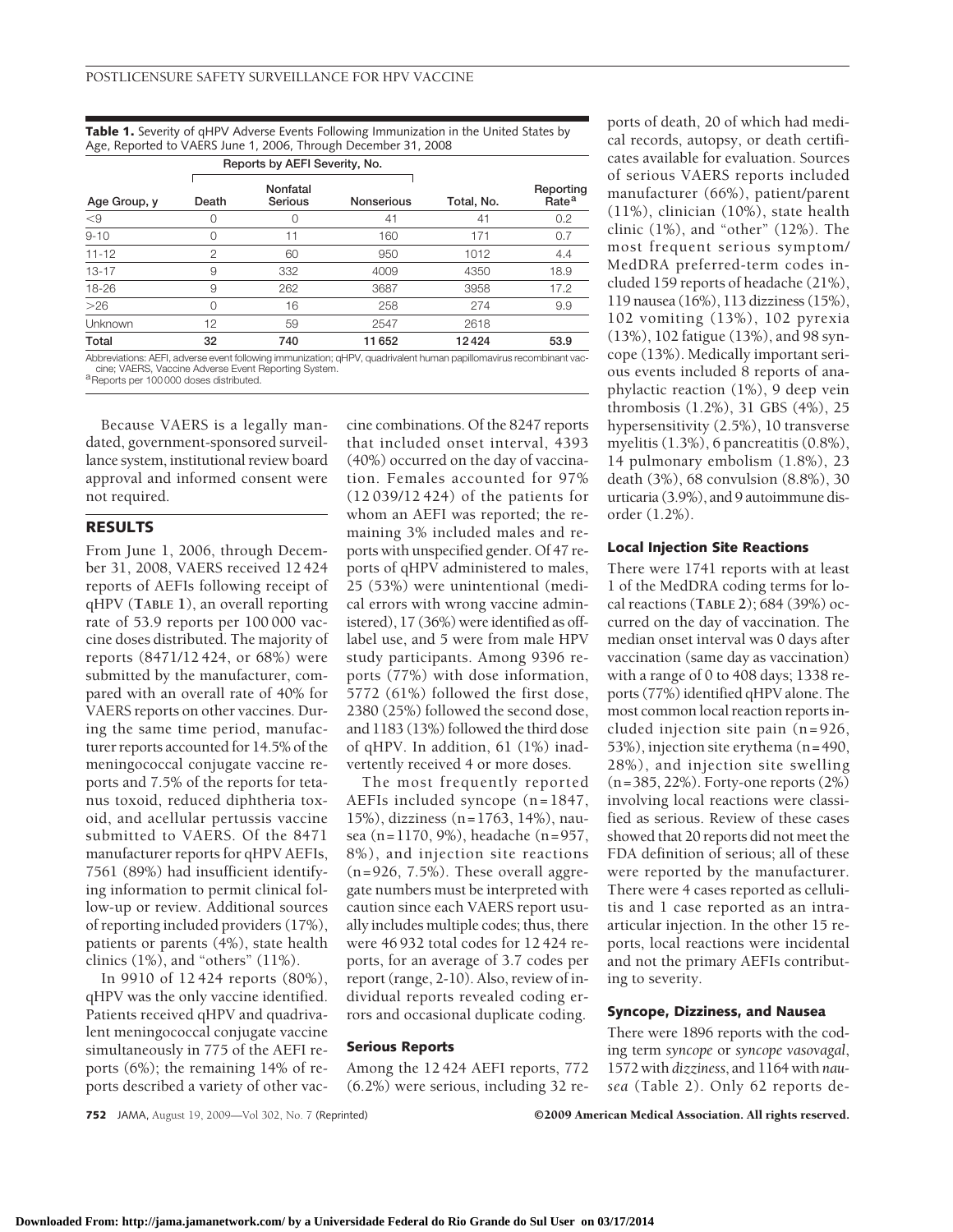**Table 1.** Severity of qHPV Adverse Events Following Immunization in the United States by Age, Reported to VAERS June 1, 2006, Through December 31, 2008

|              | Reports by AEFI Severity, No. |     |                   |            |                                |
|--------------|-------------------------------|-----|-------------------|------------|--------------------------------|
| Age Group, y | Nonfatal<br>Serious<br>Death  |     | <b>Nonserious</b> | Total, No. | Reporting<br>Rate <sup>a</sup> |
| $<$ 9        |                               |     | 41                | 41         | 0.2                            |
| $9 - 10$     |                               | 11  | 160               | 171        | 0.7                            |
| $11 - 12$    | $\overline{2}$                | 60  | 950               | 1012       | 4.4                            |
| $13 - 17$    | 9                             | 332 | 4009              | 4350       | 18.9                           |
| 18-26        | 9                             | 262 | 3687              | 3958       | 17.2                           |
| $>26$        | Ω                             | 16  | 258               | 274        | 9.9                            |
| Unknown      | 12                            | 59  | 2547              | 2618       |                                |
| Total        | 32                            | 740 | 11652             | 12424      | 53.9                           |

Abbreviations: AEFI, adverse event following immunization; qHPV, quadrivalent human papillomavirus recombinant vaccine; VAERS, Vaccine Adverse Event Reporting System.<br><sup>a</sup>Reports per 100 000 doses distributed.

Because VAERS is a legally mandated, government-sponsored surveillance system, institutional review board approval and informed consent were not required.

## **RESULTS**

From June 1, 2006, through December 31, 2008, VAERS received 12 424 reports of AEFIs following receipt of qHPV (**TABLE 1**), an overall reporting rate of 53.9 reports per 100 000 vaccine doses distributed. The majority of reports (8471/12 424, or 68%) were submitted by the manufacturer, compared with an overall rate of 40% for VAERS reports on other vaccines. During the same time period, manufacturer reports accounted for 14.5% of the meningococcal conjugate vaccine reports and 7.5% of the reports for tetanus toxoid, reduced diphtheria toxoid, and acellular pertussis vaccine submitted to VAERS. Of the 8471 manufacturer reports for qHPV AEFIs, 7561 (89%) had insufficient identifying information to permit clinical follow-up or review. Additional sources of reporting included providers (17%), patients or parents (4%), state health clinics  $(1\%)$ , and "others"  $(11\%)$ .

In 9910 of 12 424 reports (80%), qHPV was the only vaccine identified. Patients received qHPV and quadrivalent meningococcal conjugate vaccine simultaneously in 775 of the AEFI reports (6%); the remaining 14% of reports described a variety of other vaccine combinations. Of the 8247 reports that included onset interval, 4393 (40%) occurred on the day of vaccination. Females accounted for 97% (12 039/12 424) of the patients for whom an AEFI was reported; the remaining 3% included males and reports with unspecified gender. Of 47 reports of qHPV administered to males, 25 (53%) were unintentional (medical errors with wrong vaccine administered), 17 (36%) were identified as offlabel use, and 5 were from male HPV study participants. Among 9396 reports (77%) with dose information, 5772 (61%) followed the first dose, 2380 (25%) followed the second dose, and 1183 (13%) followed the third dose of qHPV. In addition, 61 (1%) inadvertently received 4 or more doses.

The most frequently reported AEFIs included syncope (n=1847, 15%), dizziness (n=1763, 14%), nausea (n=1170, 9%), headache (n=957, 8%), and injection site reactions (n=926, 7.5%). These overall aggregate numbers must be interpreted with caution since each VAERS report usually includes multiple codes; thus, there were 46 932 total codes for 12 424 reports, for an average of 3.7 codes per report (range, 2-10). Also, review of individual reports revealed coding errors and occasional duplicate coding.

## **Serious Reports**

Among the 12 424 AEFI reports, 772 (6.2%) were serious, including 32 re-

ports of death, 20 of which had medical records, autopsy, or death certificates available for evaluation. Sources of serious VAERS reports included manufacturer (66%), patient/parent (11%), clinician (10%), state health clinic (1%), and "other" (12%). The most frequent serious symptom/ MedDRA preferred-term codes included 159 reports of headache (21%), 119 nausea (16%), 113 dizziness (15%), 102 vomiting (13%), 102 pyrexia (13%), 102 fatigue (13%), and 98 syncope (13%). Medically important serious events included 8 reports of anaphylactic reaction (1%), 9 deep vein thrombosis (1.2%), 31 GBS (4%), 25 hypersensitivity (2.5%), 10 transverse myelitis (1.3%), 6 pancreatitis (0.8%), 14 pulmonary embolism (1.8%), 23 death (3%), 68 convulsion (8.8%), 30 urticaria (3.9%), and 9 autoimmune disorder (1.2%).

## **Local Injection Site Reactions**

There were 1741 reports with at least 1 of the MedDRA coding terms for local reactions (**TABLE 2**); 684 (39%) occurred on the day of vaccination. The median onset interval was 0 days after vaccination (same day as vaccination) with a range of 0 to 408 days; 1338 reports (77%) identified qHPV alone. The most common local reaction reports included injection site pain (n=926, 53%), injection site erythema (n=490, 28%), and injection site swelling (n=385, 22%). Forty-one reports (2%) involving local reactions were classified as serious. Review of these cases showed that 20 reports did not meet the FDA definition of serious; all of these were reported by the manufacturer. There were 4 cases reported as cellulitis and 1 case reported as an intraarticular injection. In the other 15 reports, local reactions were incidental and not the primary AEFIs contributing to severity.

# **Syncope, Dizziness, and Nausea**

There were 1896 reports with the coding term *syncope* or *syncope vasovagal*, 1572 with *dizziness*, and 1164 with *nausea* (Table 2). Only 62 reports de-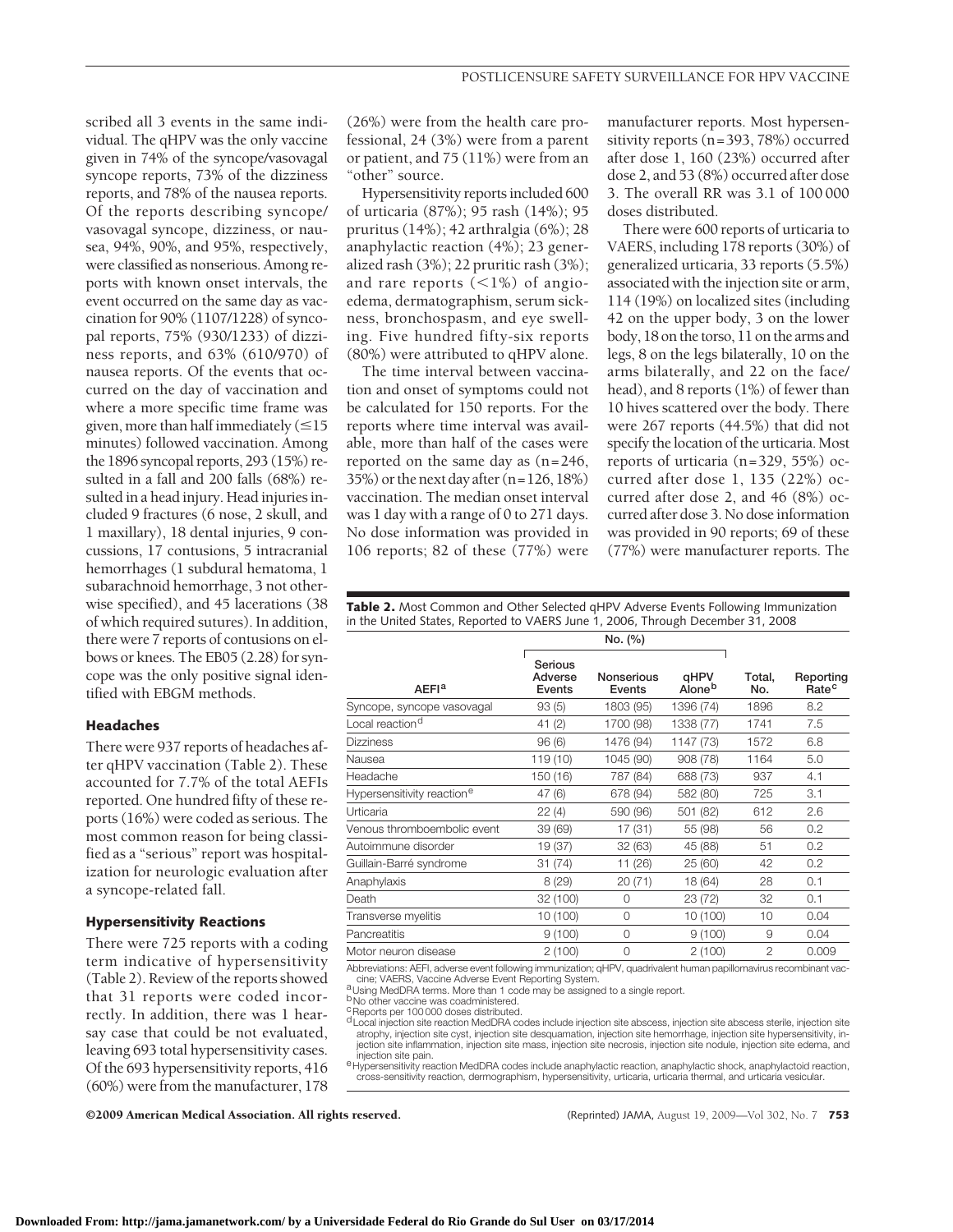scribed all 3 events in the same individual. The qHPV was the only vaccine given in 74% of the syncope/vasovagal syncope reports, 73% of the dizziness reports, and 78% of the nausea reports. Of the reports describing syncope/ vasovagal syncope, dizziness, or nausea, 94%, 90%, and 95%, respectively, were classified as nonserious. Among reports with known onset intervals, the event occurred on the same day as vaccination for 90% (1107/1228) of syncopal reports, 75% (930/1233) of dizziness reports, and 63% (610/970) of nausea reports. Of the events that occurred on the day of vaccination and where a more specific time frame was given, more than half immediately  $(\leq 15)$ minutes) followed vaccination. Among the 1896 syncopal reports, 293 (15%) resulted in a fall and 200 falls (68%) resulted in a head injury. Head injuries included 9 fractures (6 nose, 2 skull, and 1 maxillary), 18 dental injuries, 9 concussions, 17 contusions, 5 intracranial hemorrhages (1 subdural hematoma, 1 subarachnoid hemorrhage, 3 not otherwise specified), and 45 lacerations (38 of which required sutures). In addition, there were 7 reports of contusions on elbows or knees. The EB05 (2.28) for syncope was the only positive signal identified with EBGM methods.

## **Headaches**

There were 937 reports of headaches after qHPV vaccination (Table 2). These accounted for 7.7% of the total AEFIs reported. One hundred fifty of these reports (16%) were coded as serious. The most common reason for being classified as a "serious" report was hospitalization for neurologic evaluation after a syncope-related fall.

# **Hypersensitivity Reactions**

There were 725 reports with a coding term indicative of hypersensitivity (Table 2). Review of the reports showed that 31 reports were coded incorrectly. In addition, there was 1 hearsay case that could be not evaluated, leaving 693 total hypersensitivity cases. Of the 693 hypersensitivity reports, 416 (60%) were from the manufacturer, 178

(26%) were from the health care professional, 24 (3%) were from a parent or patient, and 75 (11%) were from an "other" source.

Hypersensitivity reports included 600 of urticaria (87%); 95 rash (14%); 95 pruritus (14%); 42 arthralgia (6%); 28 anaphylactic reaction (4%); 23 generalized rash (3%); 22 pruritic rash (3%); and rare reports  $(<1\%)$  of angioedema, dermatographism, serum sickness, bronchospasm, and eye swelling. Five hundred fifty-six reports (80%) were attributed to qHPV alone.

The time interval between vaccination and onset of symptoms could not be calculated for 150 reports. For the reports where time interval was available, more than half of the cases were reported on the same day as (n=246, 35%) or the next day after (n=126, 18%) vaccination. The median onset interval was 1 day with a range of 0 to 271 days. No dose information was provided in 106 reports; 82 of these (77%) were

manufacturer reports. Most hypersensitivity reports (n=393, 78%) occurred after dose 1, 160 (23%) occurred after dose 2, and 53 (8%) occurred after dose 3. The overall RR was 3.1 of 100 000 doses distributed.

There were 600 reports of urticaria to VAERS, including 178 reports (30%) of generalized urticaria, 33 reports (5.5%) associated with the injection site or arm, 114 (19%) on localized sites (including 42 on the upper body, 3 on the lower body, 18 on the torso, 11 on the arms and legs, 8 on the legs bilaterally, 10 on the arms bilaterally, and 22 on the face/ head), and 8 reports (1%) of fewer than 10 hives scattered over the body. There were 267 reports (44.5%) that did not specify the location of the urticaria. Most reports of urticaria (n=329, 55%) occurred after dose 1, 135 (22%) occurred after dose 2, and 46 (8%) occurred after dose 3. No dose information was provided in 90 reports; 69 of these (77%) were manufacturer reports. The

**Table 2.** Most Common and Other Selected qHPV Adverse Events Following Immunization in the United States, Reported to VAERS June 1, 2006, Through December 31, 2008

|                                        | No. (%)                      |                             |                |                |                                |
|----------------------------------------|------------------------------|-----------------------------|----------------|----------------|--------------------------------|
| <b>AEFI<sup>a</sup></b>                | Serious<br>Adverse<br>Events | <b>Nonserious</b><br>Events | qHPV<br>Aloneb | Total.<br>No.  | Reporting<br>Rate <sup>c</sup> |
| Syncope, syncope vasovagal             | 93(5)                        | 1803 (95)                   | 1396 (74)      | 1896           | 8.2                            |
| Local reaction <sup>d</sup>            | 41(2)                        | 1700 (98)                   | 1338 (77)      | 1741           | 7.5                            |
| <b>Dizziness</b>                       | 96(6)                        | 1476 (94)                   | 1147 (73)      | 1572           | 6.8                            |
| Nausea                                 | 119 (10)                     | 1045 (90)                   | 908 (78)       | 1164           | 5.0                            |
| Headache                               | 150 (16)                     | 787 (84)                    | 688 (73)       | 937            | 4.1                            |
| Hypersensitivity reaction <sup>e</sup> | 47 (6)                       | 678 (94)                    | 582 (80)       | 725            | 3.1                            |
| Urticaria                              | 22(4)                        | 590 (96)                    | 501 (82)       | 612            | 2.6                            |
| Venous thromboembolic event            | 39 (69)                      | 17 (31)                     | 55 (98)        | 56             | 0.2                            |
| Autoimmune disorder                    | 19 (37)                      | 32 (63)                     | 45 (88)        | 51             | 0.2                            |
| Guillain-Barré syndrome                | 31(74)                       | 11 (26)                     | 25 (60)        | 42             | 0.2                            |
| Anaphylaxis                            | 8(29)                        | 20(71)                      | 18 (64)        | 28             | 0.1                            |
| Death                                  | 32 (100)                     | 0                           | 23 (72)        | 32             | 0.1                            |
| Transverse myelitis                    | 10 (100)                     | 0                           | 10 (100)       | 10             | 0.04                           |
| Pancreatitis                           | 9(100)                       | 0                           | 9(100)         | 9              | 0.04                           |
| Motor neuron disease                   | 2(100)                       | 0                           | 2(100)         | $\mathfrak{p}$ | 0.009                          |

Abbreviations: AEFI, adverse event following immunization; qHPV, quadrivalent human papillomavirus recombinant vaccine; VAERS, Vaccine Adverse Event Reporting System.<br>a Using MedDRA terms. More than 1 code may be assigned to a single report.

b<sub>No</sub> other vaccine was coadministered.

<sup>c</sup>Reports per 100 000 doses distributed.

dLocal injection site reaction MedDRA codes include injection site abscess, injection site abscess sterile, injection site atrophy, injection site cyst, injection site desquamation, injection site hemorrhage, injection site hypersensitivity, injection site inflammation, injection site mass, injection site necrosis, injection site nodule, injection site edema, and<br>injection site pain.

<sup>e</sup> Hypersensitivity reaction MedDRA codes include anaphylactic reaction, anaphylactic shock, anaphylactoid reaction, cross-sensitivity reaction, dermographism, hypersensitivity, urticaria, urticaria thermal, and urticaria vesicular.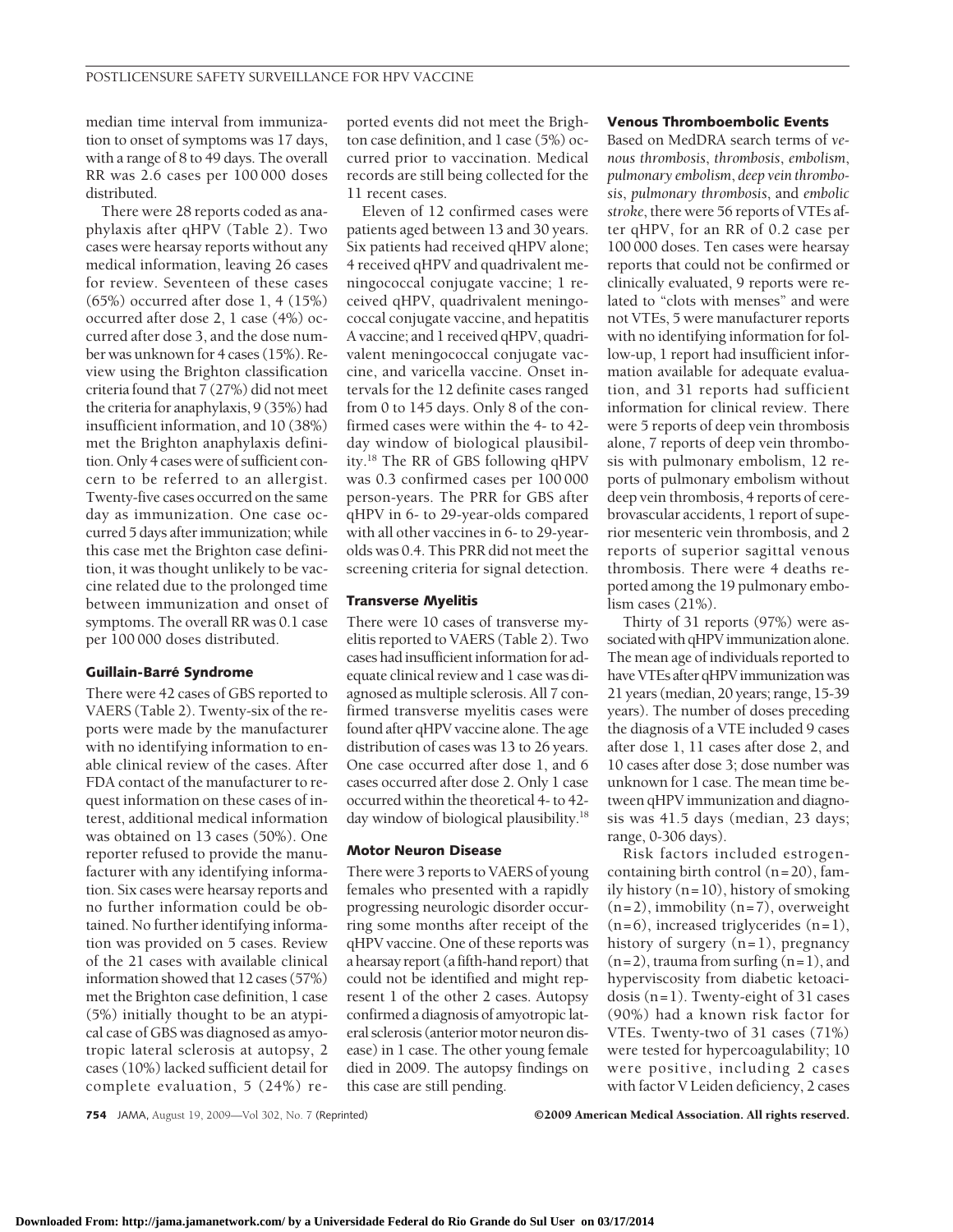median time interval from immunization to onset of symptoms was 17 days, with a range of 8 to 49 days. The overall RR was 2.6 cases per 100 000 doses distributed.

There were 28 reports coded as anaphylaxis after qHPV (Table 2). Two cases were hearsay reports without any medical information, leaving 26 cases for review. Seventeen of these cases (65%) occurred after dose 1, 4 (15%) occurred after dose 2, 1 case (4%) occurred after dose 3, and the dose number was unknown for 4 cases (15%). Review using the Brighton classification criteria found that 7 (27%) did not meet the criteria for anaphylaxis, 9 (35%) had insufficient information, and 10 (38%) met the Brighton anaphylaxis definition. Only 4 cases were of sufficient concern to be referred to an allergist. Twenty-five cases occurred on the same day as immunization. One case occurred 5 days after immunization; while this case met the Brighton case definition, it was thought unlikely to be vaccine related due to the prolonged time between immunization and onset of symptoms. The overall RR was 0.1 case per 100 000 doses distributed.

#### **Guillain-Barre´ Syndrome**

There were 42 cases of GBS reported to VAERS (Table 2). Twenty-six of the reports were made by the manufacturer with no identifying information to enable clinical review of the cases. After FDA contact of the manufacturer to request information on these cases of interest, additional medical information was obtained on 13 cases (50%). One reporter refused to provide the manufacturer with any identifying information. Six cases were hearsay reports and no further information could be obtained. No further identifying information was provided on 5 cases. Review of the 21 cases with available clinical information showed that 12 cases (57%) met the Brighton case definition, 1 case (5%) initially thought to be an atypical case of GBS was diagnosed as amyotropic lateral sclerosis at autopsy, 2 cases (10%) lacked sufficient detail for complete evaluation, 5 (24%) reported events did not meet the Brighton case definition, and 1 case (5%) occurred prior to vaccination. Medical records are still being collected for the 11 recent cases.

Eleven of 12 confirmed cases were patients aged between 13 and 30 years. Six patients had received qHPV alone; 4 received qHPV and quadrivalent meningococcal conjugate vaccine; 1 received qHPV, quadrivalent meningococcal conjugate vaccine, and hepatitis A vaccine; and 1 received qHPV, quadrivalent meningococcal conjugate vaccine, and varicella vaccine. Onset intervals for the 12 definite cases ranged from 0 to 145 days. Only 8 of the confirmed cases were within the 4- to 42 day window of biological plausibility.18 The RR of GBS following qHPV was 0.3 confirmed cases per 100 000 person-years. The PRR for GBS after qHPV in 6- to 29-year-olds compared with all other vaccines in 6- to 29-yearolds was 0.4. This PRR did not meet the screening criteria for signal detection.

# **Transverse Myelitis**

There were 10 cases of transverse myelitis reported to VAERS (Table 2). Two cases had insufficient information for adequate clinical review and 1 case was diagnosed as multiple sclerosis. All 7 confirmed transverse myelitis cases were found after qHPV vaccine alone. The age distribution of cases was 13 to 26 years. One case occurred after dose 1, and 6 cases occurred after dose 2. Only 1 case occurred within the theoretical 4- to 42 day window of biological plausibility.<sup>18</sup>

# **Motor Neuron Disease**

There were 3 reports to VAERS of young females who presented with a rapidly progressing neurologic disorder occurring some months after receipt of the qHPV vaccine. One of these reports was a hearsay report (afifth-hand report) that could not be identified and might represent 1 of the other 2 cases. Autopsy confirmed a diagnosis of amyotropic lateral sclerosis (anterior motor neuron disease) in 1 case. The other young female died in 2009. The autopsy findings on this case are still pending.

#### **Venous Thromboembolic Events**

Based on MedDRA search terms of *venous thrombosis*, *thrombosis*, *embolism*, *pulmonary embolism*, *deep vein thrombosis*, *pulmonary thrombosis*, and *embolic stroke*, there were 56 reports of VTEs after qHPV, for an RR of 0.2 case per 100 000 doses. Ten cases were hearsay reports that could not be confirmed or clinically evaluated, 9 reports were related to "clots with menses" and were not VTEs, 5 were manufacturer reports with no identifying information for follow-up, 1 report had insufficient information available for adequate evaluation, and 31 reports had sufficient information for clinical review. There were 5 reports of deep vein thrombosis alone, 7 reports of deep vein thrombosis with pulmonary embolism, 12 reports of pulmonary embolism without deep vein thrombosis, 4 reports of cerebrovascular accidents, 1 report of superior mesenteric vein thrombosis, and 2 reports of superior sagittal venous thrombosis. There were 4 deaths reported among the 19 pulmonary embolism cases (21%).

Thirty of 31 reports (97%) were associated with qHPV immunization alone. The mean age of individuals reported to have VTEs after qHPV immunization was 21 years (median, 20 years; range, 15-39 years). The number of doses preceding the diagnosis of a VTE included 9 cases after dose 1, 11 cases after dose 2, and 10 cases after dose 3; dose number was unknown for 1 case. The mean time between qHPV immunization and diagnosis was 41.5 days (median, 23 days; range, 0-306 days).

Risk factors included estrogencontaining birth control (n=20), family history (n=10), history of smoking  $(n=2)$ , immobility  $(n=7)$ , overweight  $(n=6)$ , increased triglycerides  $(n=1)$ , history of surgery  $(n=1)$ , pregnancy  $(n=2)$ , trauma from surfing  $(n=1)$ , and hyperviscosity from diabetic ketoacidosis (n=1). Twenty-eight of 31 cases (90%) had a known risk factor for VTEs. Twenty-two of 31 cases (71%) were tested for hypercoagulability; 10 were positive, including 2 cases with factor V Leiden deficiency, 2 cases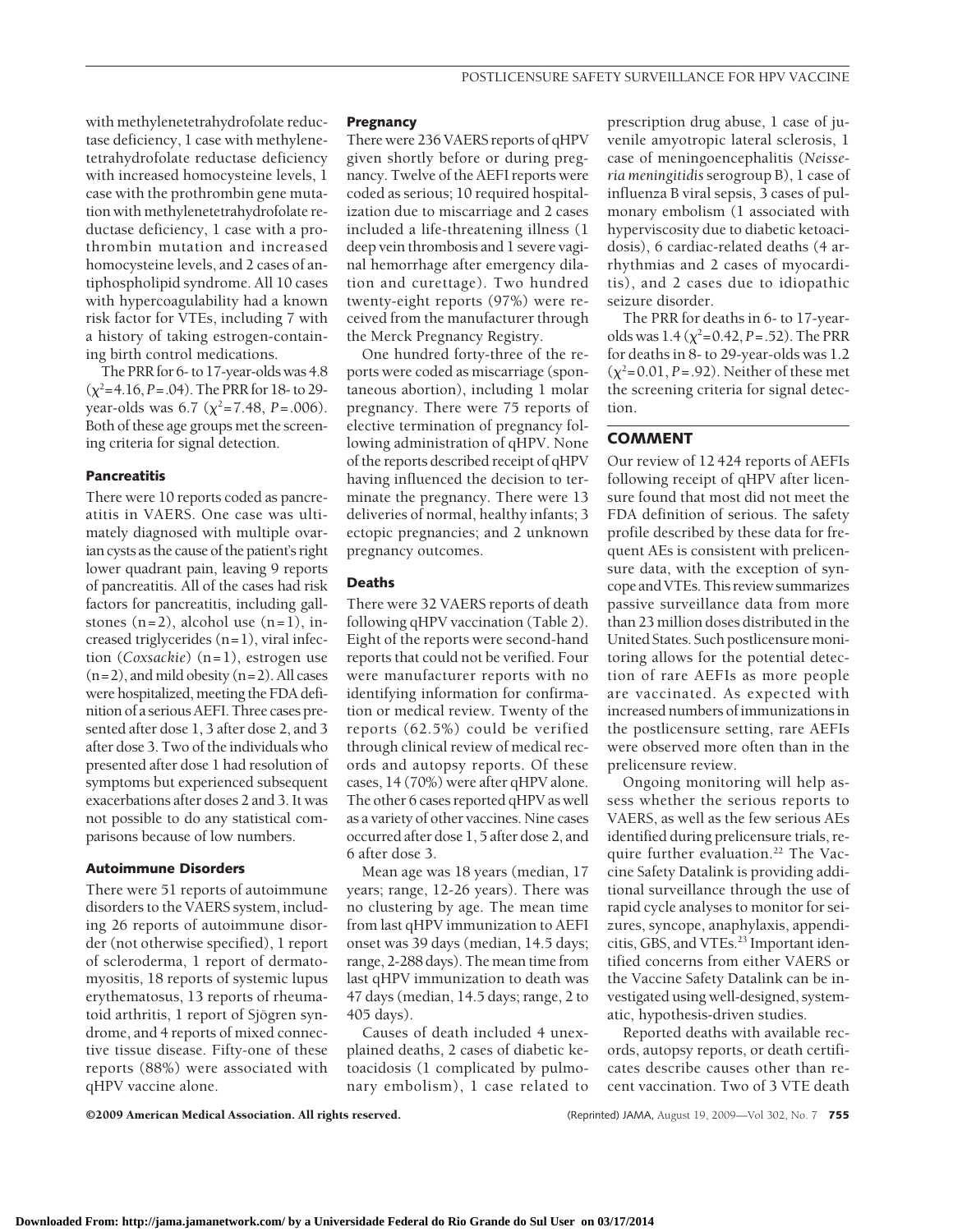with methylenetetrahydrofolate reductase deficiency, 1 case with methylenetetrahydrofolate reductase deficiency with increased homocysteine levels, 1 case with the prothrombin gene mutation with methylenetetrahydrofolate reductase deficiency, 1 case with a prothrombin mutation and increased homocysteine levels, and 2 cases of antiphospholipid syndrome. All 10 cases with hypercoagulability had a known risk factor for VTEs, including 7 with a history of taking estrogen-containing birth control medications.

The PRR for 6- to 17-year-olds was 4.8  $(\chi^2 = 4.16, P = .04)$ . The PRR for 18- to 29year-olds was  $6.7 \ (\chi^2 = 7.48, P = .006)$ . Both of these age groups met the screening criteria for signal detection.

#### **Pancreatitis**

There were 10 reports coded as pancreatitis in VAERS. One case was ultimately diagnosed with multiple ovarian cysts as the cause of the patient's right lower quadrant pain, leaving 9 reports of pancreatitis. All of the cases had risk factors for pancreatitis, including gallstones  $(n=2)$ , alcohol use  $(n=1)$ , increased triglycerides (n=1), viral infection (*Coxsackie*) (n=1), estrogen use  $(n=2)$ , and mild obesity  $(n=2)$ . All cases were hospitalized, meeting the FDA definition of a serious AEFI. Three cases presented after dose 1, 3 after dose 2, and 3 after dose 3. Two of the individuals who presented after dose 1 had resolution of symptoms but experienced subsequent exacerbations after doses 2 and 3. It was not possible to do any statistical comparisons because of low numbers.

## **Autoimmune Disorders**

There were 51 reports of autoimmune disorders to the VAERS system, including 26 reports of autoimmune disorder (not otherwise specified), 1 report of scleroderma, 1 report of dermatomyositis, 18 reports of systemic lupus erythematosus, 13 reports of rheumatoid arthritis, 1 report of Sjögren syndrome, and 4 reports of mixed connective tissue disease. Fifty-one of these reports (88%) were associated with qHPV vaccine alone.

#### **Pregnancy**

There were 236 VAERS reports of qHPV given shortly before or during pregnancy. Twelve of the AEFI reports were coded as serious; 10 required hospitalization due to miscarriage and 2 cases included a life-threatening illness (1 deep vein thrombosis and 1 severe vaginal hemorrhage after emergency dilation and curettage). Two hundred twenty-eight reports (97%) were received from the manufacturer through the Merck Pregnancy Registry.

One hundred forty-three of the reports were coded as miscarriage (spontaneous abortion), including 1 molar pregnancy. There were 75 reports of elective termination of pregnancy following administration of qHPV. None of the reports described receipt of qHPV having influenced the decision to terminate the pregnancy. There were 13 deliveries of normal, healthy infants; 3 ectopic pregnancies; and 2 unknown pregnancy outcomes.

## **Deaths**

There were 32 VAERS reports of death following qHPV vaccination (Table 2). Eight of the reports were second-hand reports that could not be verified. Four were manufacturer reports with no identifying information for confirmation or medical review. Twenty of the reports (62.5%) could be verified through clinical review of medical records and autopsy reports. Of these cases, 14 (70%) were after qHPV alone. The other 6 cases reported qHPV as well as a variety of other vaccines. Nine cases occurred after dose 1, 5 after dose 2, and 6 after dose 3.

Mean age was 18 years (median, 17 years; range, 12-26 years). There was no clustering by age. The mean time from last qHPV immunization to AEFI onset was 39 days (median, 14.5 days; range, 2-288 days). The mean time from last qHPV immunization to death was 47 days (median, 14.5 days; range, 2 to 405 days).

Causes of death included 4 unexplained deaths, 2 cases of diabetic ketoacidosis (1 complicated by pulmonary embolism), 1 case related to

prescription drug abuse, 1 case of juvenile amyotropic lateral sclerosis, 1 case of meningoencephalitis (*Neisseria meningitidis*serogroup B), 1 case of influenza B viral sepsis, 3 cases of pulmonary embolism (1 associated with hyperviscosity due to diabetic ketoacidosis), 6 cardiac-related deaths (4 arrhythmias and 2 cases of myocarditis), and 2 cases due to idiopathic seizure disorder.

The PRR for deaths in 6- to 17-yearolds was  $1.4 \, (\chi^2 = 0.42, P = .52)$ . The PRR for deaths in 8- to 29-year-olds was 1.2  $(\chi^2=0.01, P=.92)$ . Neither of these met the screening criteria for signal detection.

# **COMMENT**

Our review of 12 424 reports of AEFIs following receipt of qHPV after licensure found that most did not meet the FDA definition of serious. The safety profile described by these data for frequent AEs is consistent with prelicensure data, with the exception of syncope andVTEs. This review summarizes passive surveillance data from more than 23 million doses distributed in the United States. Such postlicensure monitoring allows for the potential detection of rare AEFIs as more people are vaccinated. As expected with increased numbers of immunizations in the postlicensure setting, rare AEFIs were observed more often than in the prelicensure review.

Ongoing monitoring will help assess whether the serious reports to VAERS, as well as the few serious AEs identified during prelicensure trials, require further evaluation.<sup>22</sup> The Vaccine Safety Datalink is providing additional surveillance through the use of rapid cycle analyses to monitor for seizures, syncope, anaphylaxis, appendicitis, GBS, and VTEs.23 Important identified concerns from either VAERS or the Vaccine Safety Datalink can be investigated using well-designed, systematic, hypothesis-driven studies.

Reported deaths with available records, autopsy reports, or death certificates describe causes other than recent vaccination. Two of 3 VTE death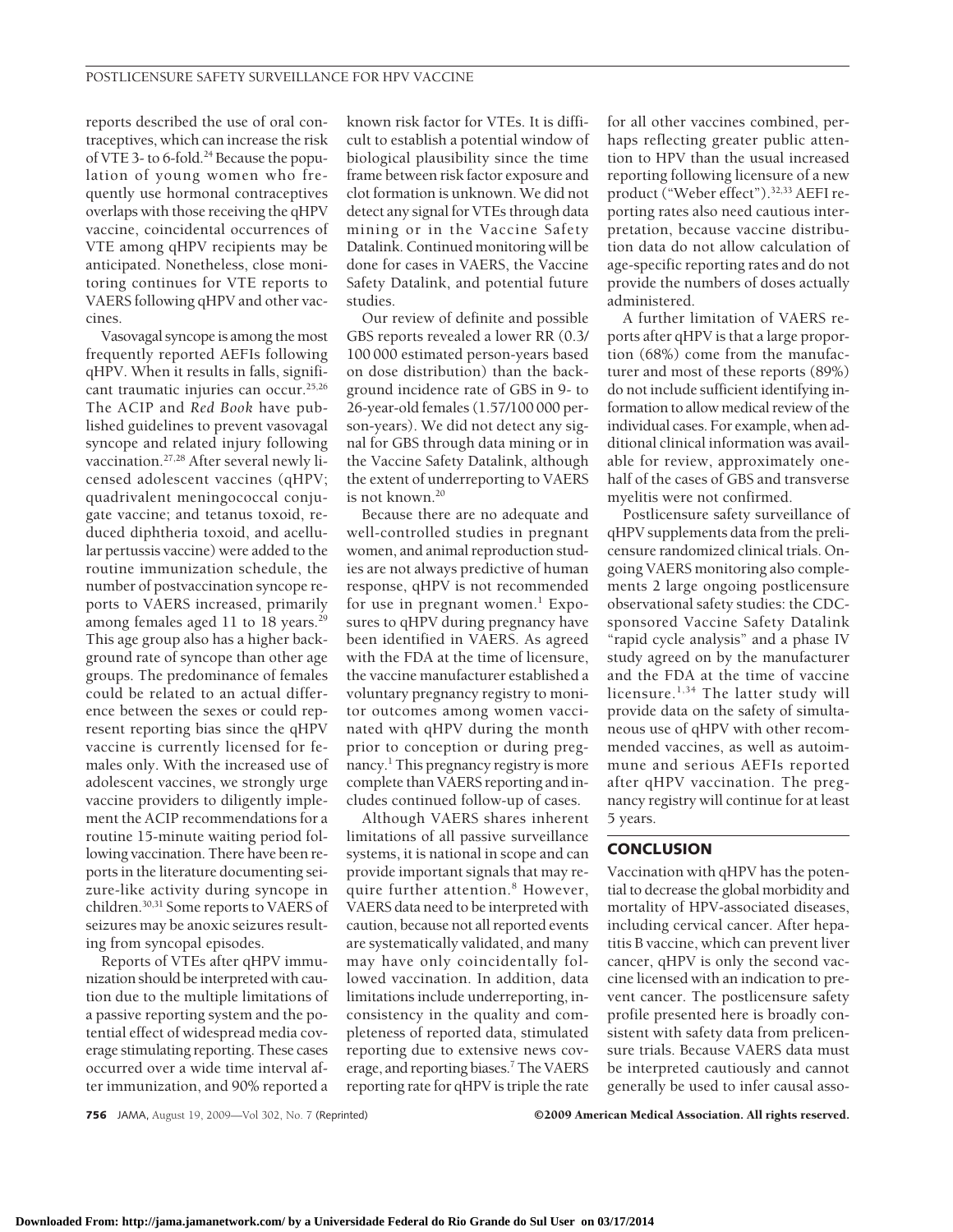reports described the use of oral contraceptives, which can increase the risk of VTE 3- to 6-fold.<sup>24</sup> Because the population of young women who frequently use hormonal contraceptives overlaps with those receiving the qHPV vaccine, coincidental occurrences of VTE among qHPV recipients may be anticipated. Nonetheless, close monitoring continues for VTE reports to VAERS following qHPV and other vaccines.

Vasovagal syncope is among the most frequently reported AEFIs following qHPV. When it results in falls, significant traumatic injuries can occur.<sup>25,26</sup> The ACIP and *Red Book* have published guidelines to prevent vasovagal syncope and related injury following vaccination.27,28 After several newly licensed adolescent vaccines (qHPV; quadrivalent meningococcal conjugate vaccine; and tetanus toxoid, reduced diphtheria toxoid, and acellular pertussis vaccine) were added to the routine immunization schedule, the number of postvaccination syncope reports to VAERS increased, primarily among females aged 11 to 18 years.<sup>29</sup> This age group also has a higher background rate of syncope than other age groups. The predominance of females could be related to an actual difference between the sexes or could represent reporting bias since the qHPV vaccine is currently licensed for females only. With the increased use of adolescent vaccines, we strongly urge vaccine providers to diligently implement the ACIP recommendations for a routine 15-minute waiting period following vaccination. There have been reports in the literature documenting seizure-like activity during syncope in children.30,31 Some reports to VAERS of seizures may be anoxic seizures resulting from syncopal episodes.

Reports of VTEs after qHPV immunization should be interpreted with caution due to the multiple limitations of a passive reporting system and the potential effect of widespread media coverage stimulating reporting. These cases occurred over a wide time interval after immunization, and 90% reported a

known risk factor for VTEs. It is difficult to establish a potential window of biological plausibility since the time frame between risk factor exposure and clot formation is unknown. We did not detect any signal for VTEs through data mining or in the Vaccine Safety Datalink. Continued monitoring will be done for cases in VAERS, the Vaccine Safety Datalink, and potential future studies.

Our review of definite and possible GBS reports revealed a lower RR (0.3/ 100 000 estimated person-years based on dose distribution) than the background incidence rate of GBS in 9- to 26-year-old females (1.57/100 000 person-years). We did not detect any signal for GBS through data mining or in the Vaccine Safety Datalink, although the extent of underreporting to VAERS is not known.20

Because there are no adequate and well-controlled studies in pregnant women, and animal reproduction studies are not always predictive of human response, qHPV is not recommended for use in pregnant women. $1$  Exposures to qHPV during pregnancy have been identified in VAERS. As agreed with the FDA at the time of licensure, the vaccine manufacturer established a voluntary pregnancy registry to monitor outcomes among women vaccinated with qHPV during the month prior to conception or during pregnancy.<sup>1</sup> This pregnancy registry is more complete than VAERS reporting and includes continued follow-up of cases.

Although VAERS shares inherent limitations of all passive surveillance systems, it is national in scope and can provide important signals that may require further attention.<sup>8</sup> However, VAERS data need to be interpreted with caution, because not all reported events are systematically validated, and many may have only coincidentally followed vaccination. In addition, data limitations include underreporting, inconsistency in the quality and completeness of reported data, stimulated reporting due to extensive news coverage, and reporting biases.<sup>7</sup> The VAERS reporting rate for qHPV is triple the rate

for all other vaccines combined, perhaps reflecting greater public attention to HPV than the usual increased reporting following licensure of a new product ("Weber effect").32,33 AEFI reporting rates also need cautious interpretation, because vaccine distribution data do not allow calculation of age-specific reporting rates and do not provide the numbers of doses actually administered.

A further limitation of VAERS reports after qHPV is that a large proportion (68%) come from the manufacturer and most of these reports (89%) do not include sufficient identifying information to allow medical review of the individual cases. For example, when additional clinical information was available for review, approximately onehalf of the cases of GBS and transverse myelitis were not confirmed.

Postlicensure safety surveillance of qHPV supplements data from the prelicensure randomized clinical trials. Ongoing VAERS monitoring also complements 2 large ongoing postlicensure observational safety studies: the CDCsponsored Vaccine Safety Datalink "rapid cycle analysis" and a phase IV study agreed on by the manufacturer and the FDA at the time of vaccine licensure.<sup>1,34</sup> The latter study will provide data on the safety of simultaneous use of qHPV with other recommended vaccines, as well as autoimmune and serious AEFIs reported after qHPV vaccination. The pregnancy registry will continue for at least 5 years.

# **CONCLUSION**

Vaccination with qHPV has the potential to decrease the global morbidity and mortality of HPV-associated diseases, including cervical cancer. After hepatitis B vaccine, which can prevent liver cancer, qHPV is only the second vaccine licensed with an indication to prevent cancer. The postlicensure safety profile presented here is broadly consistent with safety data from prelicensure trials. Because VAERS data must be interpreted cautiously and cannot generally be used to infer causal asso-